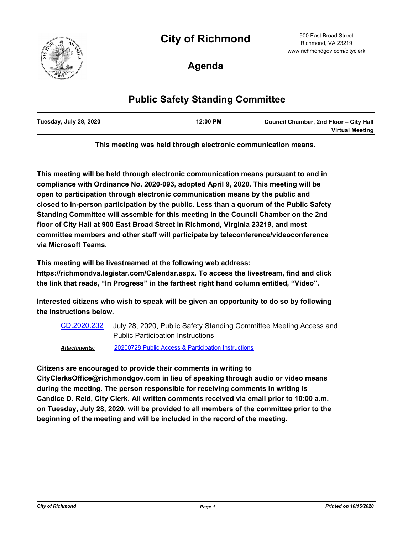# **City of Richmond**



900 East Broad Street Richmond, VA 23219 www.richmondgov.com/cityclerk

**Agenda**

## **Public Safety Standing Committee**

| Tuesday, July 28, 2020 | $12:00$ PM | Council Chamber, 2nd Floor - City Hall |
|------------------------|------------|----------------------------------------|
|                        |            | <b>Virtual Meeting</b>                 |

**This meeting was held through electronic communication means.**

**This meeting will be held through electronic communication means pursuant to and in compliance with Ordinance No. 2020-093, adopted April 9, 2020. This meeting will be open to participation through electronic communication means by the public and closed to in-person participation by the public. Less than a quorum of the Public Safety Standing Committee will assemble for this meeting in the Council Chamber on the 2nd floor of City Hall at 900 East Broad Street in Richmond, Virginia 23219, and most committee members and other staff will participate by teleconference/videoconference via Microsoft Teams.**

**This meeting will be livestreamed at the following web address:**

**https://richmondva.legistar.com/Calendar.aspx. To access the livestream, find and click the link that reads, "In Progress" in the farthest right hand column entitled, "Video".**

**Interested citizens who wish to speak will be given an opportunity to do so by following the instructions below.**

July 28, 2020, Public Safety Standing Committee Meeting Access and Public Participation Instructions [CD.2020.232](http://richmondva.legistar.com/gateway.aspx?m=l&id=/matter.aspx?key=27961) *Attachments:* [20200728 Public Access & Participation Instructions](http://richmondva.legistar.com/gateway.aspx?M=F&ID=d52d19cd-f2c7-482e-8cd4-b5071f271661.pdf)

**Citizens are encouraged to provide their comments in writing to** 

**CityClerksOffice@richmondgov.com in lieu of speaking through audio or video means during the meeting. The person responsible for receiving comments in writing is Candice D. Reid, City Clerk. All written comments received via email prior to 10:00 a.m. on Tuesday, July 28, 2020, will be provided to all members of the committee prior to the beginning of the meeting and will be included in the record of the meeting.**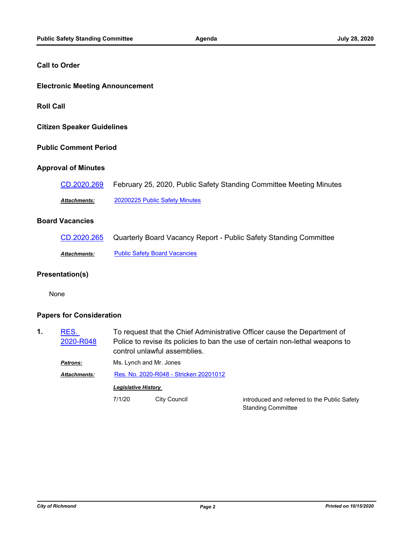#### **Call to Order**

#### **Electronic Meeting Announcement**

**Roll Call**

**Citizen Speaker Guidelines**

#### **Public Comment Period**

#### **Approval of Minutes**

| CD.2020.269         | February 25, 2020, Public Safety Standing Committee Meeting Minutes |
|---------------------|---------------------------------------------------------------------|
| <b>Attachments:</b> | 20200225 Public Safety Minutes                                      |

#### **Board Vacancies**

| CD.2020.265  | Quarterly Board Vacancy Report - Public Safety Standing Committee |
|--------------|-------------------------------------------------------------------|
| Attachments: | <b>Public Safety Board Vacancies</b>                              |

#### **Presentation(s)**

None

#### **Papers for Consideration**

To request that the Chief Administrative Officer cause the Department of Police to revise its policies to ban the use of certain non-lethal weapons to control unlawful assemblies. RES. [2020-R048](http://richmondva.legistar.com/gateway.aspx?m=l&id=/matter.aspx?key=27998) **1.** *Patrons:* Ms. Lynch and Mr. Jones *Attachments:* [Res. No. 2020-R048 - Stricken 20201012](http://richmondva.legistar.com/gateway.aspx?M=F&ID=2340d381-ab95-4cb5-9bce-785f2f6c6478.pdf) *Legislative History*  7/1/20 City Council Connect City Council controduced and referred to the Public Safety

Standing Committee